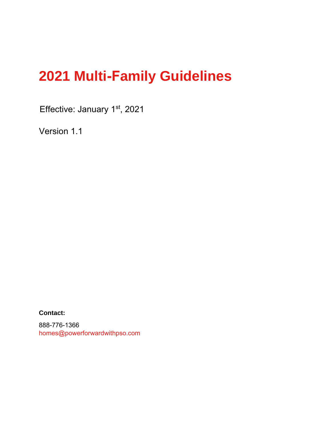# **2021 Multi-Family Guidelines**

Effective: January 1<sup>st</sup>, 2021

Version 1.1

**Contact:** 

888-776-1366 homes@powerforwardwithpso.com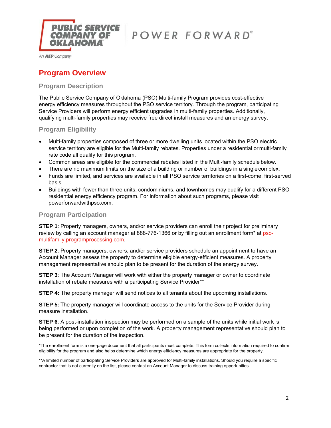

An **AEP** Company

# **Program Overview**

### **Program Description**

The Public Service Company of Oklahoma (PSO) Multi-family Program provides cost-effective energy efficiency measures throughout the PSO service territory. Through the program, participating Service Providers will perform energy efficient upgrades in multi-family properties. Additionally, qualifying multi-family properties may receive free direct install measures and an energy survey.

**Program Eligibility**

- Multi-family properties composed of three or more dwelling units located within the PSO electric service territory are eligible for the Multi-family rebates. Properties under a residential or multi-family rate code all qualify for this program.
- Common areas are eligible for the commercial rebates listed in the Multi-family schedule below.
- There are no maximum limits on the size of a building or number of buildings in a single complex.
- Funds are limited, and services are available in all PSO service territories on a first-come, first-served basis.
- Buildings with fewer than three units, condominiums, and townhomes may qualify for a different PSO residential energy efficiency program. For information about such programs, please visit powerforwardwithpso.com.

#### **Program Participation**

**STEP 1**: Property managers, owners, and/or service providers can enroll their project for preliminary review by calling an account manager at 888-776-1366 or by filling out an enrollment form\* at psomultifamily.programprocessing.com.

**STEP 2:** Property managers, owners, and/or service providers schedule an appointment to have an Account Manager assess the property to determine eligible energy-efficient measures. A property management representative should plan to be present for the duration of the energy survey.

**STEP 3:** The Account Manager will work with either the property manager or owner to coordinate installation of rebate measures with a participating Service Provider\*\*

**STEP 4:** The property manager will send notices to all tenants about the upcoming installations.

**STEP 5:** The property manager will coordinate access to the units for the Service Provider during measure installation.

**STEP 6**: A post-installation inspection may be performed on a sample of the units while initial work is being performed or upon completion of the work. A property management representative should plan to be present for the duration of the inspection.

\*The enrollment form is a one-page document that all participants must complete. This form collects information required to confirm eligibility for the program and also helps determine which energy efficiency measures are appropriate for the property.

\*\*A limited number of participating Service Providers are approved for Multi-family installations. Should you require a specific contractor that is not currently on the list, please contact an Account Manager to discuss training opportunities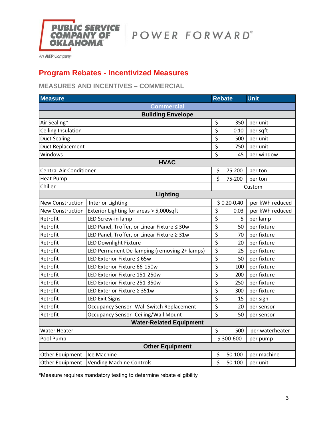

An **AEP** Company

# **Program Rebates - Incentivized Measures**

**MEASURES AND INCENTIVES – COMMERCIAL**

| <b>Measure</b>                 |                                              |                                 | <b>Rebate</b>  | <b>Unit</b>     |  |  |  |  |  |  |
|--------------------------------|----------------------------------------------|---------------------------------|----------------|-----------------|--|--|--|--|--|--|
| <b>Commercial</b>              |                                              |                                 |                |                 |  |  |  |  |  |  |
| <b>Building Envelope</b>       |                                              |                                 |                |                 |  |  |  |  |  |  |
| Air Sealing*                   |                                              | \$                              | 350            | per unit        |  |  |  |  |  |  |
| Ceiling Insulation             |                                              | $\overline{\boldsymbol{\zeta}}$ | 0.10           | per sqft        |  |  |  |  |  |  |
| <b>Duct Sealing</b>            |                                              | \$                              | 500            | per unit        |  |  |  |  |  |  |
| <b>Duct Replacement</b>        |                                              | \$                              | 750            | per unit        |  |  |  |  |  |  |
| Windows                        |                                              | $\overline{\xi}$                | 45             | per window      |  |  |  |  |  |  |
|                                | <b>HVAC</b>                                  |                                 |                |                 |  |  |  |  |  |  |
| <b>Central Air Conditioner</b> |                                              | \$                              | 75-200         | per ton         |  |  |  |  |  |  |
| <b>Heat Pump</b>               |                                              | \$                              | 75-200         | per ton         |  |  |  |  |  |  |
| Chiller                        |                                              |                                 |                | Custom          |  |  |  |  |  |  |
|                                | Lighting                                     |                                 |                |                 |  |  |  |  |  |  |
| New Construction               | <b>Interior Lighting</b>                     |                                 | $$0.20 - 0.40$ | per kWh reduced |  |  |  |  |  |  |
| <b>New Construction</b>        | Exterior Lighting for areas > 5,000sqft      | $\overline{\xi}$                | 0.03           | per kWh reduced |  |  |  |  |  |  |
| Retrofit                       | LED Screw-in lamp                            | \$                              | 5              | per lamp        |  |  |  |  |  |  |
| Retrofit                       | LED Panel, Troffer, or Linear Fixture ≤ 30w  | \$                              | 50             | per fixture     |  |  |  |  |  |  |
| Retrofit                       | LED Panel, Troffer, or Linear Fixture ≥ 31w  | $\overline{\xi}$                | 70             | per fixture     |  |  |  |  |  |  |
| Retrofit                       | <b>LED Downlight Fixture</b>                 | \$                              | 20             | per fixture     |  |  |  |  |  |  |
| Retrofit                       | LED Permanent De-lamping (removing 2+ lamps) | $\overline{\xi}$                | 25             | per fixture     |  |  |  |  |  |  |
| Retrofit                       | LED Exterior Fixture ≤ 65w                   | \$                              | 50             | per fixture     |  |  |  |  |  |  |
| Retrofit                       | LED Exterior Fixture 66-150w                 | \$                              | 100            | per fixture     |  |  |  |  |  |  |
| Retrofit                       | LED Exterior Fixture 151-250w                | \$                              | 200            | per fixture     |  |  |  |  |  |  |
| Retrofit                       | LED Exterior Fixture 251-350w                | \$                              | 250            | per fixture     |  |  |  |  |  |  |
| Retrofit                       | LED Exterior Fixture ≥ 351w                  | $\overline{\xi}$                | 300            | per fixture     |  |  |  |  |  |  |
| Retrofit                       | <b>LED Exit Signs</b>                        | $\overline{\xi}$                | 15             | per sign        |  |  |  |  |  |  |
| Retrofit                       | Occupancy Sensor- Wall Switch Replacement    | \$                              | 20             | per sensor      |  |  |  |  |  |  |
| Retrofit                       | <b>Occupancy Sensor- Ceiling/Wall Mount</b>  | $\overline{\mathsf{S}}$         | 50             | per sensor      |  |  |  |  |  |  |
| <b>Water-Related Equipment</b> |                                              |                                 |                |                 |  |  |  |  |  |  |
| <b>Water Heater</b>            |                                              | \$                              | 500            | per waterheater |  |  |  |  |  |  |
| Pool Pump                      |                                              |                                 | \$300-600      | per pump        |  |  |  |  |  |  |
|                                | <b>Other Equipment</b>                       |                                 |                |                 |  |  |  |  |  |  |
| Other Equipment                | Ice Machine                                  | \$                              | 50-100         | per machine     |  |  |  |  |  |  |
| Other Equipment                | <b>Vending Machine Controls</b>              | \$                              | 50-100         | per unit        |  |  |  |  |  |  |

\*Measure requires mandatory testing to determine rebate eligibility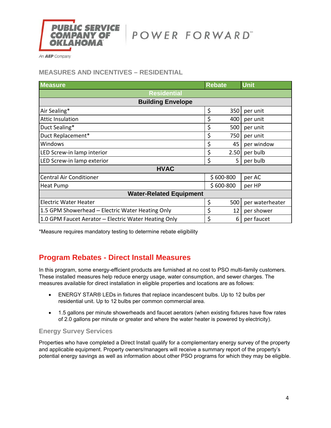

An **AEP** Company

## **MEASURES AND INCENTIVES – RESIDENTIAL**

| <b>Measure</b>                                       |    | <b>Rebate</b> | <b>Unit</b>     |  |  |  |  |  |
|------------------------------------------------------|----|---------------|-----------------|--|--|--|--|--|
| <b>Residential</b>                                   |    |               |                 |  |  |  |  |  |
| <b>Building Envelope</b>                             |    |               |                 |  |  |  |  |  |
| Air Sealing*                                         | \$ | 350           | per unit        |  |  |  |  |  |
| <b>Attic Insulation</b>                              | \$ | 400           | per unit        |  |  |  |  |  |
| Duct Sealing*                                        | \$ | 500           | per unit        |  |  |  |  |  |
| Duct Replacement*                                    | \$ | 750           | per unit        |  |  |  |  |  |
| Windows                                              | \$ | 45            | per window      |  |  |  |  |  |
| LED Screw-in lamp interior                           | \$ | 2.50          | per bulb        |  |  |  |  |  |
| LED Screw-in lamp exterior                           | \$ | 5             | per bulb        |  |  |  |  |  |
| <b>HVAC</b>                                          |    |               |                 |  |  |  |  |  |
| <b>Central Air Conditioner</b>                       |    | $$600-800$    | per AC          |  |  |  |  |  |
| <b>Heat Pump</b>                                     |    | $$600-800$    | per HP          |  |  |  |  |  |
| <b>Water-Related Equipment</b>                       |    |               |                 |  |  |  |  |  |
| <b>Electric Water Heater</b>                         | \$ | 500           | per waterheater |  |  |  |  |  |
| 1.5 GPM Showerhead – Electric Water Heating Only     | \$ | 12            | per shower      |  |  |  |  |  |
| 1.0 GPM Faucet Aerator – Electric Water Heating Only | \$ | 6             | per faucet      |  |  |  |  |  |

\*Measure requires mandatory testing to determine rebate eligibility

# **Program Rebates - Direct Install Measures**

In this program, some energy-efficient products are furnished at no cost to PSO multi-family customers. These installed measures help reduce energy usage, water consumption, and sewer charges. The measures available for direct installation in eligible properties and locations are as follows:

- ENERGY STAR® LEDs in fixtures that replace incandescent bulbs. Up to 12 bulbs per residential unit. Up to 12 bulbs per common commercial area.
- 1.5 gallons per minute showerheads and faucet aerators (when existing fixtures have flow rates of 2.0 gallons per minute or greater and where the water heater is powered by electricity).

### **Energy Survey Services**

Properties who have completed a Direct Install qualify for a complementary energy survey of the property and applicable equipment. Property owners/managers will receive a summary report of the property's potential energy savings as well as information about other PSO programs for which they may be eligible.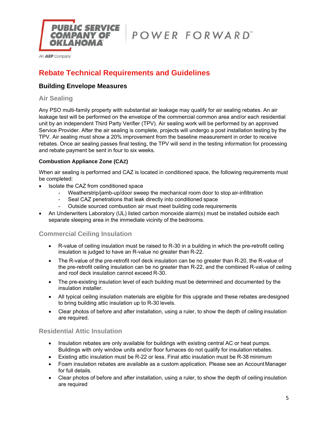

# **Rebate Technical Requirements and Guidelines**

## **Building Envelope Measures**

## **Air Sealing**

Any PSO multi-family property with substantial air leakage may qualify for air sealing rebates. An air leakage test will be performed on the envelope of the commercial common area and/or each residential unit by an independent Third Party Verifier (TPV). Air sealing work will be performed by an approved Service Provider. After the air sealing is complete, projects will undergo a post installation testing by the TPV. Air sealing must show a 20% improvement from the baseline measurement in order to receive rebates. Once air sealing passes final testing, the TPV will send in the testing information for processing and rebate payment be sent in four to six weeks.

#### **Combustion Appliance Zone (CAZ)**

When air sealing is performed and CAZ is located in conditioned space, the following requirements must be completed:

- Isolate the CAZ from conditioned space
	- Weatherstrip/jamb-up/door sweep the mechanical room door to stop air-infiltration
	- Seal CAZ penetrations that leak directly into conditioned space
	- Outside sourced combustion air must meet building code requirements
- An Underwriters Laboratory (UL) listed carbon monoxide alarm(s) must be installed outside each separate sleeping area in the immediate vicinity of the bedrooms.

# **Commercial Ceiling Insulation**

- R-value of ceiling insulation must be raised to R-30 in a building in which the pre-retrofit ceiling insulation is judged to have an R-value no greater than R-22.
- The R-value of the pre-retrofit roof deck insulation can be no greater than R-20, the R-value of the pre-retrofit ceiling insulation can be no greater than R-22, and the combined R-value of ceiling and roof deck insulation cannot exceed R-30.
- The pre-existing insulation level of each building must be determined and documented by the insulation installer.
- All typical ceiling insulation materials are eligible for this upgrade and these rebates are designed to bring building attic insulation up to R-30 levels.
- Clear photos of before and after installation, using a ruler, to show the depth of ceiling insulation are required.

### **Residential Attic Insulation**

- Insulation rebates are only available for buildings with existing central AC or heat pumps. Buildings with only window units and/or floor furnaces do not qualify for insulation rebates.
- Existing attic insulation must be R-22 or less. Final attic insulation must be R-38 minimum
- Foam insulation rebates are available as a custom application. Please see an Account Manager for full details.
- Clear photos of before and after installation, using a ruler, to show the depth of ceiling insulation are required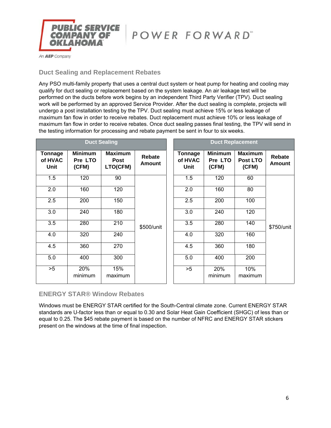

## **Duct Sealing and Replacement Rebates**

Any PSO multi-family property that uses a central duct system or heat pump for heating and cooling may qualify for duct sealing or replacement based on the system leakage. An air leakage test will be performed on the ducts before work begins by an independent Third Party Verifier (TPV). Duct sealing work will be performed by an approved Service Provider. After the duct sealing is complete, projects will undergo a post installation testing by the TPV. Duct sealing must achieve 15% or less leakage of maximum fan flow in order to receive rebates. Duct replacement must achieve 10% or less leakage of maximum fan flow in order to receive rebates. Once duct sealing passes final testing, the TPV will send in the testing information for processing and rebate payment be sent in four to six weeks.

|                                          |                                    | <b>Duct Sealing</b>                       |                  |                                   | <b>Duct Replacement</b>            |                                     |                         |
|------------------------------------------|------------------------------------|-------------------------------------------|------------------|-----------------------------------|------------------------------------|-------------------------------------|-------------------------|
| <b>Tonnage</b><br>of HVAC<br><b>Unit</b> | <b>Minimum</b><br>Pre LTO<br>(CFM) | <b>Maximum</b><br><b>Post</b><br>LTO(CFM) | Rebate<br>Amount | <b>Tonnage</b><br>of HVAC<br>Unit | <b>Minimum</b><br>Pre LTO<br>(CFM) | <b>Maximum</b><br>Post LTO<br>(CFM) | Rebate<br><b>Amount</b> |
| 1.5                                      | 120                                | 90                                        |                  | 1.5                               | 120                                | 60                                  |                         |
| 2.0                                      | 160                                | 120                                       |                  | 2.0                               | 160                                | 80                                  |                         |
| 2.5                                      | 200                                | 150                                       |                  | 2.5                               | 200                                | 100                                 |                         |
| 3.0                                      | 240                                | 180                                       | \$500/unit       | 3.0                               | 240                                | 120                                 |                         |
| 3.5                                      | 280                                | 210                                       |                  | 3.5                               | 280                                | 140                                 | \$750/unit              |
| 4.0                                      | 320                                | 240                                       |                  | 4.0                               | 320                                | 160                                 |                         |
| 4.5                                      | 360                                | 270                                       |                  | 4.5                               | 360                                | 180                                 |                         |
| 5.0                                      | 400                                | 300                                       |                  | 5.0                               | 400                                | 200                                 |                         |
| >5                                       | 20%<br>minimum                     | 15%<br>maximum                            |                  | >5                                | 20%<br>minimum                     | 10%<br>maximum                      |                         |

### **ENERGY STAR® Window Rebates**

Windows must be ENERGY STAR certified for the South-Central climate zone. Current ENERGY STAR standards are U-factor less than or equal to 0.30 and Solar Heat Gain Coefficient (SHGC) of less than or equal to 0.25. The \$45 rebate payment is based on the number of NFRC and ENERGY STAR stickers present on the windows at the time of final inspection.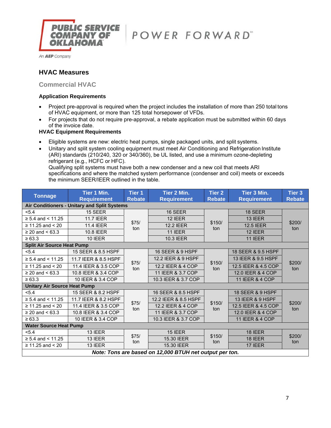

An **AEP** Company

# **HVAC Measures**

## **Commercial HVAC**

#### **Application Requirements**

- Project pre-approval is required when the project includes the installation of more than 250 total tons of HVAC equipment, or more than 125 total horsepower of VFDs.
- For projects that do not require pre-approval, a rebate application must be submitted within 60 days of the invoice date.

#### **HVAC Equipment Requirements**

- Eligible systems are new: electric heat pumps, single packaged units, and split systems.
- Unitary and split system cooling equipment must meet Air Conditioning and Refrigeration Institute (ARI) standards (210/240, 320 or 340/360), be UL listed, and use a minimum ozone-depleting refrigerant (e.g., HCFC or HFC). Qualifying split systems must have both a new condenser and a new coil that meets ARI

specifications and where the matched system performance (condenser and coil) meets or exceeds the minimum SEER/IEER outlined in the table.

| <b>Tonnage</b>                      | Tier 1 Min.<br><b>Requirement</b>            | <b>Tier 1</b><br><b>Rebate</b> | Tier 2 Min.<br><b>Requirement</b>                       | Tier 2<br><b>Rebate</b> | Tier 3 Min.<br><b>Requirement</b> | Tier 3<br><b>Rebate</b> |
|-------------------------------------|----------------------------------------------|--------------------------------|---------------------------------------------------------|-------------------------|-----------------------------------|-------------------------|
|                                     | Air Conditioners - Unitary and Split Systems |                                |                                                         |                         |                                   |                         |
| < 5.4                               | 15 SEER                                      |                                | 16 SEER                                                 |                         | 18 SEER                           |                         |
| $\ge$ 5.4 and < 11.25               | <b>11.7 IEER</b>                             |                                | <b>12 IEER</b>                                          |                         | <b>13 IEER</b>                    |                         |
| $\geq 11.25$ and < 20               | <b>11.4 IEER</b>                             | \$75/<br>ton                   | <b>12.2 IEER</b>                                        | \$150/<br>ton           | <b>12.5 IEER</b>                  | \$200/<br>ton           |
| ≥ 20 and < $63.3$                   | 10.8 IEER                                    |                                | 11 IEER                                                 |                         | 12 IEER                           |                         |
| $\ge 63.3$                          | <b>10 IEER</b>                               |                                | 10.3 IEER                                               |                         | <b>11 IEER</b>                    |                         |
| <b>Split Air Source Heat Pump</b>   |                                              |                                |                                                         |                         |                                   |                         |
| < 5.4                               | 15 SEER & 8.5 HSPF                           |                                | 16 SEER & 9 HSPF                                        |                         | 18 SEER & 9.5 HSPF                |                         |
| $\ge$ 5.4 and < 11.25               | 11.7 IEER & 8.5 HSPF                         |                                | 12.2 IEER & 9 HSPF                                      | \$150/<br>ton           | 13 IEER & 9.5 HSPF                | \$200/<br>ton           |
| $\geq 11.25$ and < 20               | 11.4 IEER & 3.5 COP                          | \$75/<br>ton                   | 12.2 IEER & 4 COP                                       |                         | 12.5 IEER & 4.5 COP               |                         |
| ≥ 20 and < $63.3$                   | 10.8 IEER & 3.4 COP                          |                                | 11 IEER & 3.7 COP                                       |                         | 12.0 IEER & 4 COP                 |                         |
| $\ge 63.3$                          | 10 IEER & 3.4 COP                            |                                | 10.3 IEER & 3.7 COP                                     |                         | 11 IEER & 4 COP                   |                         |
| <b>Unitary Air Source Heat Pump</b> |                                              |                                |                                                         |                         |                                   |                         |
| < 5.4                               | 15 SEER & 8.2 HSPF                           |                                | 16 SEER & 8.5 HSPF                                      |                         | 18 SEER & 9 HSPF                  |                         |
| ≥ 5.4 and < 11.25                   | 11.7 IEER & 8.2 HSPF                         |                                | 12.2 IEER & 8.5 HSPF                                    |                         | 13 IEER & 9 HSPF                  |                         |
| ≥ 11.25 and < 20                    | 11.4 IEER & 3.5 COP                          | \$75/<br>ton                   | 12.2 IEER & 4 COP                                       | \$150/<br>ton           | 12.5 IEER & 4.5 COP               | \$200/<br>ton           |
| ≥ 20 and < $63.3$                   | 10.8 IEER & 3.4 COP                          |                                | 11 IEER & 3.7 COP                                       |                         | 12.0 IEER & 4 COP                 |                         |
| $\ge 63.3$                          | 10 IEER & 3.4 COP                            |                                | 10.3 IEER & 3.7 COP                                     |                         | 11 IEER & 4 COP                   |                         |
| <b>Water Source Heat Pump</b>       |                                              |                                |                                                         |                         |                                   |                         |
| < 5.4                               | 13 IEER                                      |                                | <b>15 IEER</b>                                          |                         | <b>18 IEER</b>                    |                         |
| $\ge$ 5.4 and < 11.25               | 13 IEER                                      | \$75/<br>ton                   | 15.30 IEER                                              | \$150/<br>ton           | 18 IEER                           | \$200/<br>ton           |
| $\geq 11.25$ and < 20               | <b>13 IEER</b>                               |                                | 15.30 IEER                                              |                         | 17 IEER                           |                         |
|                                     |                                              |                                | Note: Tons are based on 12,000 BTUH net output per ton. |                         |                                   |                         |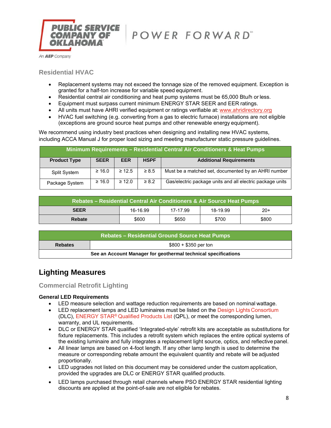

An **AEP** Company

## **Residential HVAC**

- Replacement systems may not exceed the tonnage size of the removed equipment. Exception is granted for a half-ton increase for variable speed equipment.
- Residential central air conditioning and heat pump systems must be 65,000 Btu/h or less.
- Equipment must surpass current minimum ENERGY STAR SEER and EER ratings.
- All units must have AHRI verified equipment or ratings verifiable at: www.ahridirectory.org
- HVAC fuel switching (e.g. converting from a gas to electric furnace) installations are not eligible (exceptions are ground source heat pumps and other renewable energy equipment).

We recommend using industry best practices when designing and installing new HVAC systems, including ACCA Manual J for proper load sizing and meeting manufacturer static pressure guidelines.

| <b>Minimum Requirements - Residential Central Air Conditioners &amp; Heat Pumps</b> |             |             |             |                                                           |  |  |  |
|-------------------------------------------------------------------------------------|-------------|-------------|-------------|-----------------------------------------------------------|--|--|--|
| <b>Product Type</b>                                                                 | <b>SEER</b> | <b>EER</b>  | <b>HSPF</b> | <b>Additional Requirements</b>                            |  |  |  |
| <b>Split System</b>                                                                 | $\geq 16.0$ | $\geq 12.5$ | $\geq 8.5$  | Must be a matched set, documented by an AHRI number       |  |  |  |
| Package System                                                                      | $\geq 16.0$ | $\geq 12.0$ | $\geq 8.2$  | Gas/electric package units and all electric package units |  |  |  |

| Rebates – Residential Central Air Conditioners & Air Source Heat Pumps |          |          |          |       |  |  |
|------------------------------------------------------------------------|----------|----------|----------|-------|--|--|
| <b>SEER</b>                                                            | 16-16.99 | 17-17.99 | 18-19.99 | $20+$ |  |  |
| <b>Rebate</b>                                                          | \$600    | \$650    | \$700    | \$800 |  |  |

| Rebates – Residential Ground Source Heat Pumps                 |                       |  |  |  |  |
|----------------------------------------------------------------|-----------------------|--|--|--|--|
| <b>Rebates</b>                                                 | $$800 + $350$ per ton |  |  |  |  |
| See an Account Manager for geothermal technical specifications |                       |  |  |  |  |

# **Lighting Measures**

### **Commercial Retrofit Lighting**

#### **General LED Requirements**

- LED measure selection and wattage reduction requirements are based on nominal wattage.
- LED replacement lamps and LED luminaires must be listed on the Design Lights Consortium (DLC), ENERGY STAR® Qualified Products List (QPL), or meet the corresponding lumen, warranty, and UL requirements.
- DLC or ENERGY STAR qualified 'Integrated-style' retrofit kits are acceptable as substitutions for fixture replacements. This includes a retrofit system which replaces the entire optical systems of the existing luminaire and fully integrates a replacement light source, optics, and reflective panel.
- All linear lamps are based on 4-foot length. If any other lamp length is used to determine the measure or corresponding rebate amount the equivalent quantity and rebate will be adjusted proportionally.
- LED upgrades not listed on this document may be considered under the custom application, provided the upgrades are DLC or ENERGY STAR qualified products.
- LED lamps purchased through retail channels where PSO ENERGY STAR residential lighting discounts are applied at the point-of-sale are not eligible for rebates.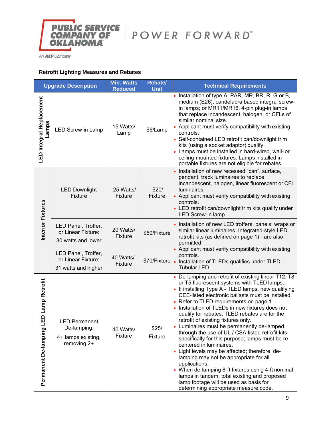

An **AEP** Company

## **Retrofit Lighting Measures and Rebates**

| <b>Upgrade Description</b>                    |                                                                          | <b>Min. Watts</b><br><b>Reduced</b>  | <b>Rebate/</b><br><b>Unit</b>                                                                                                                                         | <b>Technical Requirements</b>                                                                                                                                                                                                                                                                                                                                                                                                                                                                                                                                                                                                                                                                                                                                                                                                                                                            |
|-----------------------------------------------|--------------------------------------------------------------------------|--------------------------------------|-----------------------------------------------------------------------------------------------------------------------------------------------------------------------|------------------------------------------------------------------------------------------------------------------------------------------------------------------------------------------------------------------------------------------------------------------------------------------------------------------------------------------------------------------------------------------------------------------------------------------------------------------------------------------------------------------------------------------------------------------------------------------------------------------------------------------------------------------------------------------------------------------------------------------------------------------------------------------------------------------------------------------------------------------------------------------|
| LED Integral Replacement<br><b>Lamps</b>      | <b>LED Screw-in Lamp</b>                                                 | 15 Watts/<br>Lamp                    | \$5/Lamp                                                                                                                                                              | • Installation of type A, PAR, MR, BR, R, G or B,<br>medium (E26), candelabra based integral screw-<br>in lamps; or MR11/MR16, 4-pin plug-in lamps<br>that replace incandescent, halogen, or CFLs of<br>similar nominal size.<br>Applicant must verify compatibility with existing<br>controls.<br>• Self-contained LED retrofit can/downlight trim<br>kits (using a socket adaptor) qualify.<br>Lamps must be installed in hard-wired, wall- or<br>ceiling-mounted fixtures. Lamps installed in<br>portable fixtures are not eligible for rebates.                                                                                                                                                                                                                                                                                                                                      |
|                                               | <b>LED Downlight</b><br>Fixture                                          | 25 Watts/<br>Fixture                 | \$20/<br><b>Fixture</b>                                                                                                                                               | • Installation of new recessed "can", surface,<br>pendant, track luminaires to replace<br>incandescent, halogen, linear fluorescent or CFL<br>luminaires.<br>• Applicant must verify compatibility with existing<br>controls.<br>• LED retrofit can/downlight trim kits qualify under<br>LED Screw-in lamp.                                                                                                                                                                                                                                                                                                                                                                                                                                                                                                                                                                              |
| Interior Fixtures                             | LED Panel, Troffer,<br>or Linear Fixture:<br>30 watts and lower          | 20 Watts/<br>\$50/Fixture<br>Fixture | Installation of new LED troffers, panels, wraps or<br>similar linear luminaires. Integrated-style LED<br>retrofit kits (as defined on page 1) - are also<br>permitted |                                                                                                                                                                                                                                                                                                                                                                                                                                                                                                                                                                                                                                                                                                                                                                                                                                                                                          |
|                                               | LED Panel, Troffer,<br>or Linear Fixture:<br>31 watts and higher         | 40 Watts/<br>Fixture                 | \$70/Fixture                                                                                                                                                          | Applicant must verify compatibility with existing<br>controls.<br>Installation of TLEDs qualifies under TLED -<br>Tubular LED.                                                                                                                                                                                                                                                                                                                                                                                                                                                                                                                                                                                                                                                                                                                                                           |
| ED Lamp Retrofit<br>ᆜ<br>Permanent De-lamping | <b>LED Permanent</b><br>De-lamping:<br>4+ lamps existing,<br>removing 2+ | 40 Watts/<br>Fixture                 | \$25/<br>Fixture                                                                                                                                                      | • De-lamping and retrofit of existing linear T12, T8<br>or T5 fluorescent systems with TLED lamps.<br>• If installing Type A - TLED lamps, new qualifying<br>CEE-listed electronic ballasts must be installed.<br>• Refer to TLED requirements on page 1.<br>• Installation of TLEDs in new fixtures does not<br>qualify for rebates; TLED rebates are for the<br>retrofit of existing fixtures only.<br>• Luminaires must be permanently de-lamped<br>through the use of UL / CSA-listed retrofit kits<br>specifically for this purpose; lamps must be re-<br>centered in luminaires.<br>Light levels may be affected; therefore, de-<br>lamping may not be appropriate for all<br>applications.<br>When de-lamping 8-ft fixtures using 4-ft nominal<br>lamps in tandem, total existing and proposed<br>lamp footage will be used as basis for<br>determining appropriate measure code. |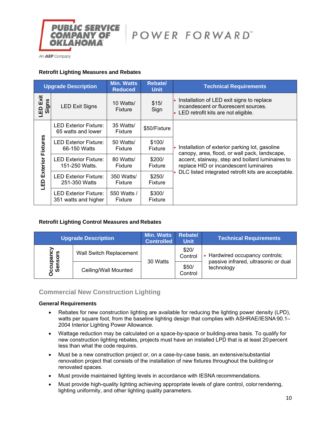

An **AEP** Company

#### **Retrofit Lighting Measures and Rebates**

| <b>Upgrade Description</b>  |                                                      | <b>Min. Watts</b><br><b>Reduced</b> | <b>Rebate/</b><br><b>Unit</b> | <b>Technical Requirements</b>                                                                                                |
|-----------------------------|------------------------------------------------------|-------------------------------------|-------------------------------|------------------------------------------------------------------------------------------------------------------------------|
| Exit<br>Signs<br><b>GIL</b> | <b>LED Exit Signs</b>                                | 10 Watts/<br>Fixture                | \$15/<br>Sign                 | • Installation of LED exit signs to replace<br>incandescent or fluorescent sources.<br>• LED retrofit kits are not eligible. |
|                             | <b>LED Exterior Fixture:</b><br>65 watts and lower   | 35 Watts/<br>Fixture                | \$50/Fixture                  |                                                                                                                              |
| Fixtures                    | <b>LED Exterior Fixture:</b><br>66-150 Watts         | 50 Watts/<br>Fixture                | \$100/<br>Fixture             | Installation of exterior parking lot, gasoline<br>canopy, area, flood, or wall pack, landscape,                              |
| Exterior                    | <b>LED Exterior Fixture:</b><br>151-250 Watts.       | 80 Watts/<br>Fixture                | \$200/<br>Fixture             | accent, stairway, step and bollard luminaires to<br>replace HID or incandescent luminaires                                   |
| $\frac{D}{2}$               | <b>LED Exterior Fixture:</b><br>251-350 Watts        | 350 Watts/<br>Fixture               | \$250/<br>Fixture             | DLC listed integrated retrofit kits are acceptable.                                                                          |
|                             | <b>LED Exterior Fixture:</b><br>351 watts and higher | 550 Watts /<br>Fixture              | \$300/<br>Fixture             |                                                                                                                              |

#### **Retrofit Lighting Control Measures and Rebates**

|                     | <b>Upgrade Description</b>     | <b>Min. Watts</b><br><b>Controlled</b> | <b>Rebate/</b><br><b>Unit</b> | <b>Technical Requirements</b>                                         |
|---------------------|--------------------------------|----------------------------------------|-------------------------------|-----------------------------------------------------------------------|
| ocupancy<br>Sensors | <b>Wall Switch Replacement</b> | 30 Watts                               | \$20/<br>Control              | Hardwired occupancy controls;<br>passive infrared, ultrasonic or dual |
|                     | Ceiling/Wall Mounted           |                                        | \$50/<br>Control              | technology                                                            |

# **Commercial New Construction Lighting**

#### **General Requirements**

- Rebates for new construction lighting are available for reducing the lighting power density (LPD), watts per square foot, from the baseline lighting design that complies with ASHRAE/IESNA 90.1– 2004 Interior Lighting Power Allowance.
- Wattage reduction may be calculated on a space-by-space or building-area basis. To qualify for new construction lighting rebates, projects must have an installed LPD that is at least 20 percent less than what the code requires.
- Must be a new construction project or, on a case-by-case basis, an extensive/substantial renovation project that consists of the installation of new fixtures throughout the building or renovated spaces.
- Must provide maintained lighting levels in accordance with IESNA recommendations.
- Must provide high-quality lighting achieving appropriate levels of glare control, color rendering, lighting uniformity, and other lighting quality parameters.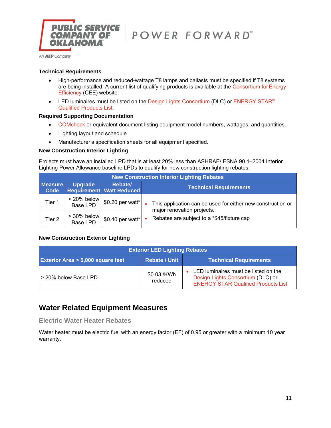

#### **Technical Requirements**

- High-performance and reduced-wattage T8 lamps and ballasts must be specified if T8 systems are being installed. A current list of qualifying products is available at the Consortium for Energy Efficiency (CEE) website.
- LED luminaires must be listed on the Design Lights Consortium (DLC) or ENERGY STAR<sup>®</sup> Qualified Products List.

#### **Required Supporting Documentation**

- COMcheck or equivalent document listing equipment model numbers, wattages, and quantities.
- Lighting layout and schedule.
- Manufacturer's specification sheets for all equipment specified.

#### **New Construction Interior Lighting**

Projects must have an installed LPD that is at least 20% less than ASHRAE/IESNA 90.1–2004 Interior Lighting Power Allowance baseline LPDs to qualify for new construction lighting rebates.

|                        | <b>New Construction Interior Lighting Rebates</b> |                                            |  |                                                                                           |  |  |  |  |
|------------------------|---------------------------------------------------|--------------------------------------------|--|-------------------------------------------------------------------------------------------|--|--|--|--|
| <b>Measure</b><br>Code | <b>Upgrade</b>                                    | Rebate/<br><b>Requirement Watt Reduced</b> |  | <b>Technical Requirements</b>                                                             |  |  |  |  |
| Tier 1                 | > 20% below<br>Base LPD                           | $\vert$ \$0.20 per watt*                   |  | This application can be used for either new construction or<br>major renovation projects. |  |  |  |  |
| Tier 2                 | > 30% below<br>Base LPD                           | $\vert$ \$0.40 per watt*                   |  | Rebates are subject to a *\$45/fixture cap                                                |  |  |  |  |

#### **New Construction Exterior Lighting**

| <b>Exterior LED Lighting Rebates</b>        |                               |                                                                                                                         |  |  |  |  |
|---------------------------------------------|-------------------------------|-------------------------------------------------------------------------------------------------------------------------|--|--|--|--|
| <b>Exterior Area &gt; 5,000 square feet</b> | <b>Technical Requirements</b> |                                                                                                                         |  |  |  |  |
| l > 20% below Base LPD_                     | \$0.03 /KWh<br>reduced        | LED luminaires must be listed on the<br>Design Lights Consortium (DLC) or<br><b>ENERGY STAR Qualified Products List</b> |  |  |  |  |

# **Water Related Equipment Measures**

**Electric Water Heater Rebates**

Water heater must be electric fuel with an energy factor (EF) of 0.95 or greater with a minimum 10 year warranty.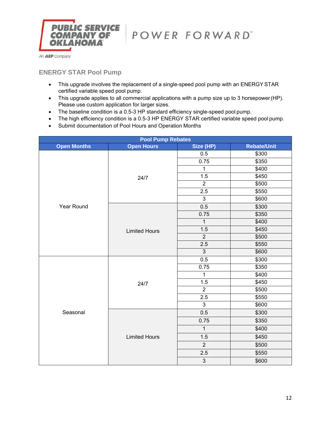

# **ENERGY STAR Pool Pump**

- This upgrade involves the replacement of a single-speed pool pump with an ENERGY STAR certified variable speed pool pump.
- This upgrade applies to all commercial applications with a pump size up to 3 horsepower (HP). Please use custom application for larger sizes.
- The baseline condition is a 0.5-3 HP standard efficiency single-speed pool pump.
- The high efficiency condition is a 0.5-3 HP ENERGY STAR certified variable speed pool pump.
- Submit documentation of Pool Hours and Operation Months

| <b>Pool Pump Rebates</b> |                      |                |                    |  |  |
|--------------------------|----------------------|----------------|--------------------|--|--|
| <b>Open Months</b>       | <b>Open Hours</b>    | Size (HP)      | <b>Rebate/Unit</b> |  |  |
| Year Round               | 24/7                 | 0.5            | \$300              |  |  |
|                          |                      | 0.75           | \$350              |  |  |
|                          |                      | $\mathbf{1}$   | \$400              |  |  |
|                          |                      | 1.5            | \$450              |  |  |
|                          |                      | $\overline{2}$ | \$500              |  |  |
|                          |                      | 2.5            | \$550              |  |  |
|                          |                      | $\mathbf{3}$   | \$600              |  |  |
|                          | <b>Limited Hours</b> | 0.5            | \$300              |  |  |
|                          |                      | 0.75           | \$350              |  |  |
|                          |                      | $\mathbf{1}$   | \$400              |  |  |
|                          |                      | 1.5            | \$450              |  |  |
|                          |                      | $\overline{2}$ | \$500              |  |  |
|                          |                      | 2.5            | \$550              |  |  |
|                          |                      | 3              | \$600              |  |  |
|                          | 24/7                 | 0.5            | \$300              |  |  |
|                          |                      | 0.75           | \$350              |  |  |
|                          |                      | $\mathbf{1}$   | \$400              |  |  |
|                          |                      | 1.5            | \$450              |  |  |
|                          |                      | $\overline{2}$ | \$500              |  |  |
|                          |                      | 2.5            | \$550              |  |  |
|                          |                      | $\mathfrak{S}$ | \$600              |  |  |
| Seasonal                 | <b>Limited Hours</b> | 0.5            | \$300              |  |  |
|                          |                      | 0.75           | \$350              |  |  |
|                          |                      | $\mathbf{1}$   | \$400              |  |  |
|                          |                      | 1.5            | \$450              |  |  |
|                          |                      | $\overline{2}$ | \$500              |  |  |
|                          |                      | 2.5            | \$550              |  |  |
|                          |                      | $\mathfrak{S}$ | \$600              |  |  |
|                          |                      |                |                    |  |  |